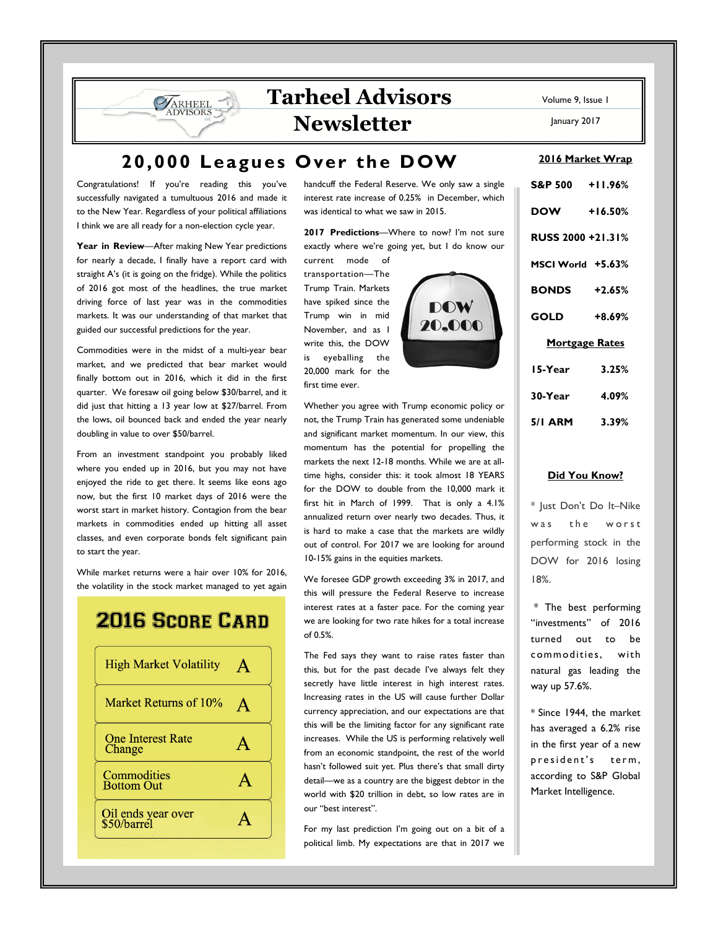# **Tarheel Advisors Newsletter**

January 2017

# **20,000 Leagues Over the DOW**

Congratulations! If you're reading this you've successfully navigated a tumultuous 2016 and made it to the New Year. Regardless of your political affiliations I think we are all ready for a non-election cycle year.

**VARHEEL DVISORS** 

**Year in Review**—After making New Year predictions for nearly a decade, I finally have a report card with straight A's (it is going on the fridge). While the politics of 2016 got most of the headlines, the true market driving force of last year was in the commodities markets. It was our understanding of that market that guided our successful predictions for the year.

Commodities were in the midst of a multi-year bear market, and we predicted that bear market would finally bottom out in 2016, which it did in the first quarter. We foresaw oil going below \$30/barrel, and it did just that hitting a 13 year low at \$27/barrel. From the lows, oil bounced back and ended the year nearly doubling in value to over \$50/barrel.

From an investment standpoint you probably liked where you ended up in 2016, but you may not have enjoyed the ride to get there. It seems like eons ago now, but the first 10 market days of 2016 were the worst start in market history. Contagion from the bear markets in commodities ended up hitting all asset classes, and even corporate bonds felt significant pain to start the year.

While market returns were a hair over 10% for 2016, the volatility in the stock market managed to yet again

## **2016 SCORE CARD**



handcuff the Federal Reserve. We only saw a single interest rate increase of 0.25% in December, which was identical to what we saw in 2015.

**2017 Predictions**—Where to now? I'm not sure exactly where we're going yet, but I do know our

current mode of transportation—The Trump Train. Markets have spiked since the Trump win in mid November, and as I write this, the DOW is eyeballing the 20,000 mark for the first time ever.



Whether you agree with Trump economic policy or not, the Trump Train has generated some undeniable and significant market momentum. In our view, this momentum has the potential for propelling the markets the next 12-18 months. While we are at alltime highs, consider this: it took almost 18 YEARS for the DOW to double from the 10,000 mark it first hit in March of 1999. That is only a 4.1% annualized return over nearly two decades. Thus, it is hard to make a case that the markets are wildly out of control. For 2017 we are looking for around 10-15% gains in the equities markets.

We foresee GDP growth exceeding 3% in 2017, and this will pressure the Federal Reserve to increase interest rates at a faster pace. For the coming year we are looking for two rate hikes for a total increase of 0.5%.

The Fed says they want to raise rates faster than this, but for the past decade I've always felt they secretly have little interest in high interest rates. Increasing rates in the US will cause further Dollar currency appreciation, and our expectations are that this will be the limiting factor for any significant rate increases. While the US is performing relatively well from an economic standpoint, the rest of the world hasn't followed suit yet. Plus there's that small dirty detail—we as a country are the biggest debtor in the world with \$20 trillion in debt, so low rates are in our "best interest".

For my last prediction I'm going out on a bit of a political limb. My expectations are that in 2017 we

| S&P 500 +11.96%          |           |
|--------------------------|-----------|
| <b>DOW</b>               | $+16.50%$ |
| <b>RUSS 2000 +21.31%</b> |           |
| MSCI World +5.63%        |           |
| <b>BONDS</b> +2.65%      |           |
| GOLD                     | $+8.69%$  |
| <b>Mortgage Rates</b>    |           |
| 15-Year                  | 3.25%     |
| 30-Year 4.09%            |           |
| 5/I ARM                  | 3.39%     |
|                          |           |

### **Did You Know?**

\* Just Don't Do It–Nike was the worst performing stock in the DOW for 2016 losing 18%.

 \* The best performing "investments" of 2016 turned out to be commodities, with natural gas leading the way up 57.6%.

\* Since 1944, the market has averaged a 6.2% rise in the first year of a new president's term, according to S&P Global Market Intelligence.

**2016 Market Wrap**